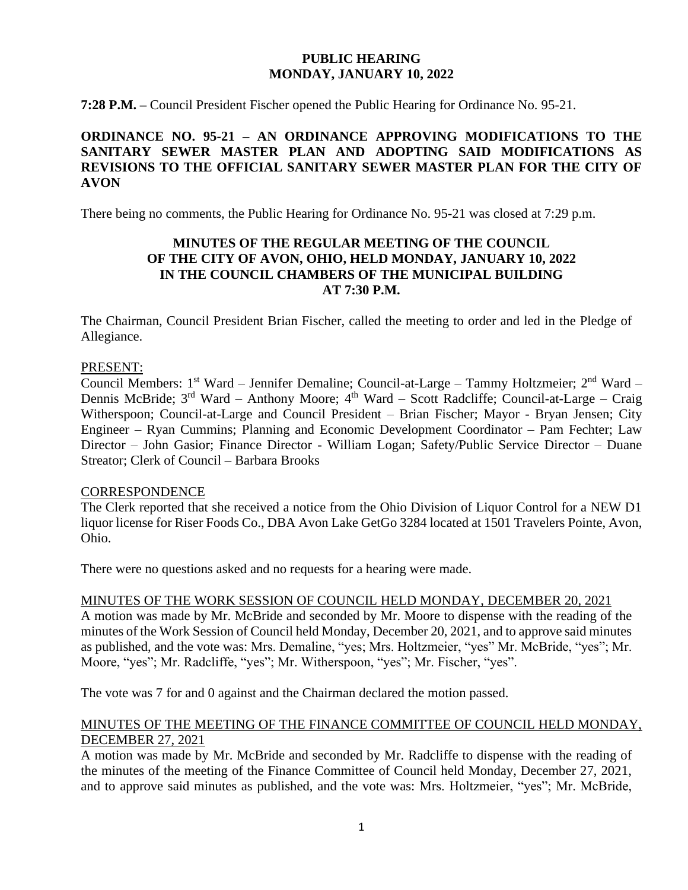### **PUBLIC HEARING MONDAY, JANUARY 10, 2022**

**7:28 P.M. –** Council President Fischer opened the Public Hearing for Ordinance No. 95-21.

# **ORDINANCE NO. 95-21 – AN ORDINANCE APPROVING MODIFICATIONS TO THE SANITARY SEWER MASTER PLAN AND ADOPTING SAID MODIFICATIONS AS REVISIONS TO THE OFFICIAL SANITARY SEWER MASTER PLAN FOR THE CITY OF AVON**

There being no comments, the Public Hearing for Ordinance No. 95-21 was closed at 7:29 p.m.

# **MINUTES OF THE REGULAR MEETING OF THE COUNCIL OF THE CITY OF AVON, OHIO, HELD MONDAY, JANUARY 10, 2022 IN THE COUNCIL CHAMBERS OF THE MUNICIPAL BUILDING AT 7:30 P.M.**

The Chairman, Council President Brian Fischer, called the meeting to order and led in the Pledge of Allegiance.

#### PRESENT:

Council Members: 1<sup>st</sup> Ward – Jennifer Demaline; Council-at-Large – Tammy Holtzmeier; 2<sup>nd</sup> Ward – Dennis McBride; 3<sup>rd</sup> Ward – Anthony Moore; 4<sup>th</sup> Ward – Scott Radcliffe; Council-at-Large – Craig Witherspoon; Council-at-Large and Council President – Brian Fischer; Mayor - Bryan Jensen; City Engineer – Ryan Cummins; Planning and Economic Development Coordinator – Pam Fechter; Law Director – John Gasior; Finance Director - William Logan; Safety/Public Service Director – Duane Streator; Clerk of Council – Barbara Brooks

#### **CORRESPONDENCE**

The Clerk reported that she received a notice from the Ohio Division of Liquor Control for a NEW D1 liquor license for Riser Foods Co., DBA Avon Lake GetGo 3284 located at 1501 Travelers Pointe, Avon, Ohio.

There were no questions asked and no requests for a hearing were made.

#### MINUTES OF THE WORK SESSION OF COUNCIL HELD MONDAY, DECEMBER 20, 2021

A motion was made by Mr. McBride and seconded by Mr. Moore to dispense with the reading of the minutes of the Work Session of Council held Monday, December 20, 2021, and to approve said minutes as published, and the vote was: Mrs. Demaline, "yes; Mrs. Holtzmeier, "yes" Mr. McBride, "yes"; Mr. Moore, "yes"; Mr. Radcliffe, "yes"; Mr. Witherspoon, "yes"; Mr. Fischer, "yes".

The vote was 7 for and 0 against and the Chairman declared the motion passed.

#### MINUTES OF THE MEETING OF THE FINANCE COMMITTEE OF COUNCIL HELD MONDAY, DECEMBER 27, 2021

A motion was made by Mr. McBride and seconded by Mr. Radcliffe to dispense with the reading of the minutes of the meeting of the Finance Committee of Council held Monday, December 27, 2021, and to approve said minutes as published, and the vote was: Mrs. Holtzmeier, "yes"; Mr. McBride,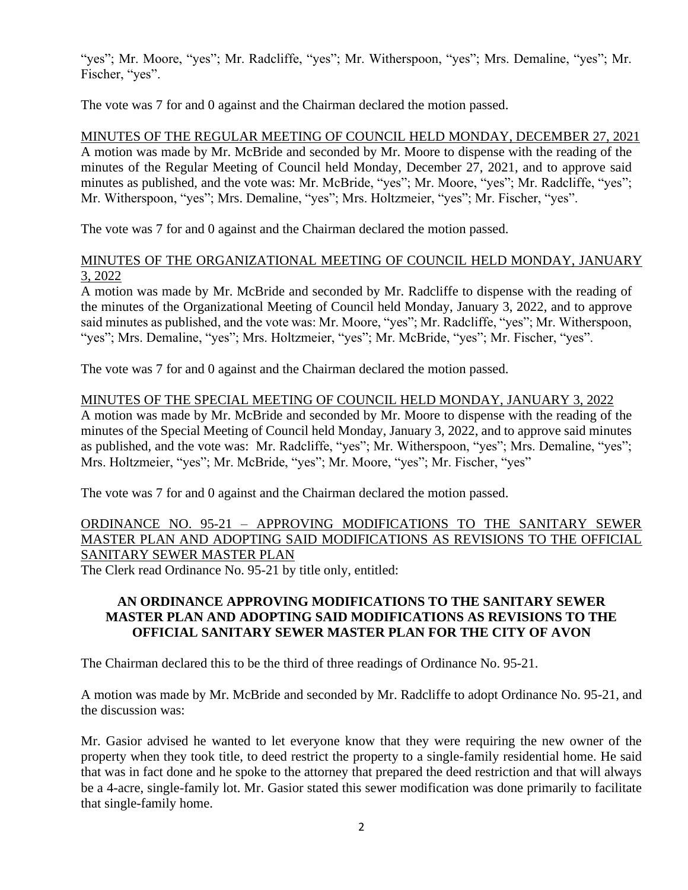"yes"; Mr. Moore, "yes"; Mr. Radcliffe, "yes"; Mr. Witherspoon, "yes"; Mrs. Demaline, "yes"; Mr. Fischer, "yes".

The vote was 7 for and 0 against and the Chairman declared the motion passed.

MINUTES OF THE REGULAR MEETING OF COUNCIL HELD MONDAY, DECEMBER 27, 2021 A motion was made by Mr. McBride and seconded by Mr. Moore to dispense with the reading of the minutes of the Regular Meeting of Council held Monday, December 27, 2021, and to approve said minutes as published, and the vote was: Mr. McBride, "yes"; Mr. Moore, "yes"; Mr. Radcliffe, "yes"; Mr. Witherspoon, "yes"; Mrs. Demaline, "yes"; Mrs. Holtzmeier, "yes"; Mr. Fischer, "yes".

The vote was 7 for and 0 against and the Chairman declared the motion passed.

# MINUTES OF THE ORGANIZATIONAL MEETING OF COUNCIL HELD MONDAY, JANUARY 3, 2022

A motion was made by Mr. McBride and seconded by Mr. Radcliffe to dispense with the reading of the minutes of the Organizational Meeting of Council held Monday, January 3, 2022, and to approve said minutes as published, and the vote was: Mr. Moore, "yes"; Mr. Radcliffe, "yes"; Mr. Witherspoon, "yes"; Mrs. Demaline, "yes"; Mrs. Holtzmeier, "yes"; Mr. McBride, "yes"; Mr. Fischer, "yes".

The vote was 7 for and 0 against and the Chairman declared the motion passed.

## MINUTES OF THE SPECIAL MEETING OF COUNCIL HELD MONDAY, JANUARY 3, 2022

A motion was made by Mr. McBride and seconded by Mr. Moore to dispense with the reading of the minutes of the Special Meeting of Council held Monday, January 3, 2022, and to approve said minutes as published, and the vote was: Mr. Radcliffe, "yes"; Mr. Witherspoon, "yes"; Mrs. Demaline, "yes"; Mrs. Holtzmeier, "yes"; Mr. McBride, "yes"; Mr. Moore, "yes"; Mr. Fischer, "yes"

The vote was 7 for and 0 against and the Chairman declared the motion passed.

# ORDINANCE NO. 95-21 – APPROVING MODIFICATIONS TO THE SANITARY SEWER MASTER PLAN AND ADOPTING SAID MODIFICATIONS AS REVISIONS TO THE OFFICIAL SANITARY SEWER MASTER PLAN

The Clerk read Ordinance No. 95-21 by title only, entitled:

# **AN ORDINANCE APPROVING MODIFICATIONS TO THE SANITARY SEWER MASTER PLAN AND ADOPTING SAID MODIFICATIONS AS REVISIONS TO THE OFFICIAL SANITARY SEWER MASTER PLAN FOR THE CITY OF AVON**

The Chairman declared this to be the third of three readings of Ordinance No. 95-21.

A motion was made by Mr. McBride and seconded by Mr. Radcliffe to adopt Ordinance No. 95-21, and the discussion was:

Mr. Gasior advised he wanted to let everyone know that they were requiring the new owner of the property when they took title, to deed restrict the property to a single-family residential home. He said that was in fact done and he spoke to the attorney that prepared the deed restriction and that will always be a 4-acre, single-family lot. Mr. Gasior stated this sewer modification was done primarily to facilitate that single-family home.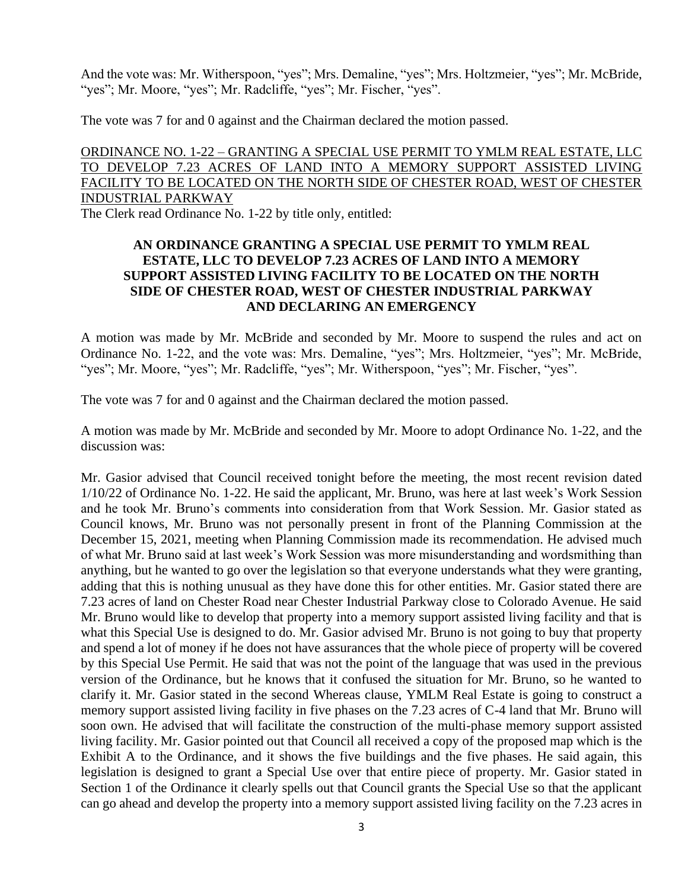And the vote was: Mr. Witherspoon, "yes"; Mrs. Demaline, "yes"; Mrs. Holtzmeier, "yes"; Mr. McBride, "yes"; Mr. Moore, "yes"; Mr. Radcliffe, "yes"; Mr. Fischer, "yes".

The vote was 7 for and 0 against and the Chairman declared the motion passed.

# ORDINANCE NO. 1-22 – GRANTING A SPECIAL USE PERMIT TO YMLM REAL ESTATE, LLC TO DEVELOP 7.23 ACRES OF LAND INTO A MEMORY SUPPORT ASSISTED LIVING FACILITY TO BE LOCATED ON THE NORTH SIDE OF CHESTER ROAD, WEST OF CHESTER INDUSTRIAL PARKWAY

The Clerk read Ordinance No. 1-22 by title only, entitled:

#### **AN ORDINANCE GRANTING A SPECIAL USE PERMIT TO YMLM REAL ESTATE, LLC TO DEVELOP 7.23 ACRES OF LAND INTO A MEMORY SUPPORT ASSISTED LIVING FACILITY TO BE LOCATED ON THE NORTH SIDE OF CHESTER ROAD, WEST OF CHESTER INDUSTRIAL PARKWAY AND DECLARING AN EMERGENCY**

A motion was made by Mr. McBride and seconded by Mr. Moore to suspend the rules and act on Ordinance No. 1-22, and the vote was: Mrs. Demaline, "yes"; Mrs. Holtzmeier, "yes"; Mr. McBride, "yes"; Mr. Moore, "yes"; Mr. Radcliffe, "yes"; Mr. Witherspoon, "yes"; Mr. Fischer, "yes".

The vote was 7 for and 0 against and the Chairman declared the motion passed.

A motion was made by Mr. McBride and seconded by Mr. Moore to adopt Ordinance No. 1-22, and the discussion was:

Mr. Gasior advised that Council received tonight before the meeting, the most recent revision dated 1/10/22 of Ordinance No. 1-22. He said the applicant, Mr. Bruno, was here at last week's Work Session and he took Mr. Bruno's comments into consideration from that Work Session. Mr. Gasior stated as Council knows, Mr. Bruno was not personally present in front of the Planning Commission at the December 15, 2021, meeting when Planning Commission made its recommendation. He advised much of what Mr. Bruno said at last week's Work Session was more misunderstanding and wordsmithing than anything, but he wanted to go over the legislation so that everyone understands what they were granting, adding that this is nothing unusual as they have done this for other entities. Mr. Gasior stated there are 7.23 acres of land on Chester Road near Chester Industrial Parkway close to Colorado Avenue. He said Mr. Bruno would like to develop that property into a memory support assisted living facility and that is what this Special Use is designed to do. Mr. Gasior advised Mr. Bruno is not going to buy that property and spend a lot of money if he does not have assurances that the whole piece of property will be covered by this Special Use Permit. He said that was not the point of the language that was used in the previous version of the Ordinance, but he knows that it confused the situation for Mr. Bruno, so he wanted to clarify it. Mr. Gasior stated in the second Whereas clause, YMLM Real Estate is going to construct a memory support assisted living facility in five phases on the 7.23 acres of C-4 land that Mr. Bruno will soon own. He advised that will facilitate the construction of the multi-phase memory support assisted living facility. Mr. Gasior pointed out that Council all received a copy of the proposed map which is the Exhibit A to the Ordinance, and it shows the five buildings and the five phases. He said again, this legislation is designed to grant a Special Use over that entire piece of property. Mr. Gasior stated in Section 1 of the Ordinance it clearly spells out that Council grants the Special Use so that the applicant can go ahead and develop the property into a memory support assisted living facility on the 7.23 acres in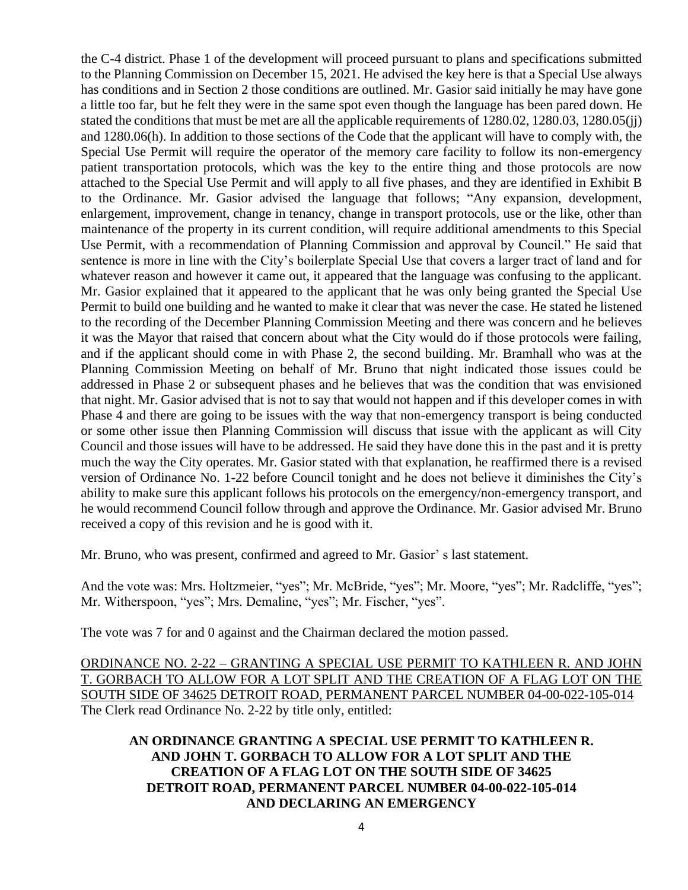the C-4 district. Phase 1 of the development will proceed pursuant to plans and specifications submitted to the Planning Commission on December 15, 2021. He advised the key here is that a Special Use always has conditions and in Section 2 those conditions are outlined. Mr. Gasior said initially he may have gone a little too far, but he felt they were in the same spot even though the language has been pared down. He stated the conditions that must be met are all the applicable requirements of 1280.02, 1280.03, 1280.05(jj) and 1280.06(h). In addition to those sections of the Code that the applicant will have to comply with, the Special Use Permit will require the operator of the memory care facility to follow its non-emergency patient transportation protocols, which was the key to the entire thing and those protocols are now attached to the Special Use Permit and will apply to all five phases, and they are identified in Exhibit B to the Ordinance. Mr. Gasior advised the language that follows; "Any expansion, development, enlargement, improvement, change in tenancy, change in transport protocols, use or the like, other than maintenance of the property in its current condition, will require additional amendments to this Special Use Permit, with a recommendation of Planning Commission and approval by Council." He said that sentence is more in line with the City's boilerplate Special Use that covers a larger tract of land and for whatever reason and however it came out, it appeared that the language was confusing to the applicant. Mr. Gasior explained that it appeared to the applicant that he was only being granted the Special Use Permit to build one building and he wanted to make it clear that was never the case. He stated he listened to the recording of the December Planning Commission Meeting and there was concern and he believes it was the Mayor that raised that concern about what the City would do if those protocols were failing, and if the applicant should come in with Phase 2, the second building. Mr. Bramhall who was at the Planning Commission Meeting on behalf of Mr. Bruno that night indicated those issues could be addressed in Phase 2 or subsequent phases and he believes that was the condition that was envisioned that night. Mr. Gasior advised that is not to say that would not happen and if this developer comes in with Phase 4 and there are going to be issues with the way that non-emergency transport is being conducted or some other issue then Planning Commission will discuss that issue with the applicant as will City Council and those issues will have to be addressed. He said they have done this in the past and it is pretty much the way the City operates. Mr. Gasior stated with that explanation, he reaffirmed there is a revised version of Ordinance No. 1-22 before Council tonight and he does not believe it diminishes the City's ability to make sure this applicant follows his protocols on the emergency/non-emergency transport, and he would recommend Council follow through and approve the Ordinance. Mr. Gasior advised Mr. Bruno received a copy of this revision and he is good with it.

Mr. Bruno, who was present, confirmed and agreed to Mr. Gasior' s last statement.

And the vote was: Mrs. Holtzmeier, "yes"; Mr. McBride, "yes"; Mr. Moore, "yes"; Mr. Radcliffe, "yes"; Mr. Witherspoon, "yes"; Mrs. Demaline, "yes"; Mr. Fischer, "yes".

The vote was 7 for and 0 against and the Chairman declared the motion passed.

ORDINANCE NO. 2-22 – GRANTING A SPECIAL USE PERMIT TO KATHLEEN R. AND JOHN T. GORBACH TO ALLOW FOR A LOT SPLIT AND THE CREATION OF A FLAG LOT ON THE SOUTH SIDE OF 34625 DETROIT ROAD, PERMANENT PARCEL NUMBER 04-00-022-105-014 The Clerk read Ordinance No. 2-22 by title only, entitled:

## **AN ORDINANCE GRANTING A SPECIAL USE PERMIT TO KATHLEEN R. AND JOHN T. GORBACH TO ALLOW FOR A LOT SPLIT AND THE CREATION OF A FLAG LOT ON THE SOUTH SIDE OF 34625 DETROIT ROAD, PERMANENT PARCEL NUMBER 04-00-022-105-014 AND DECLARING AN EMERGENCY**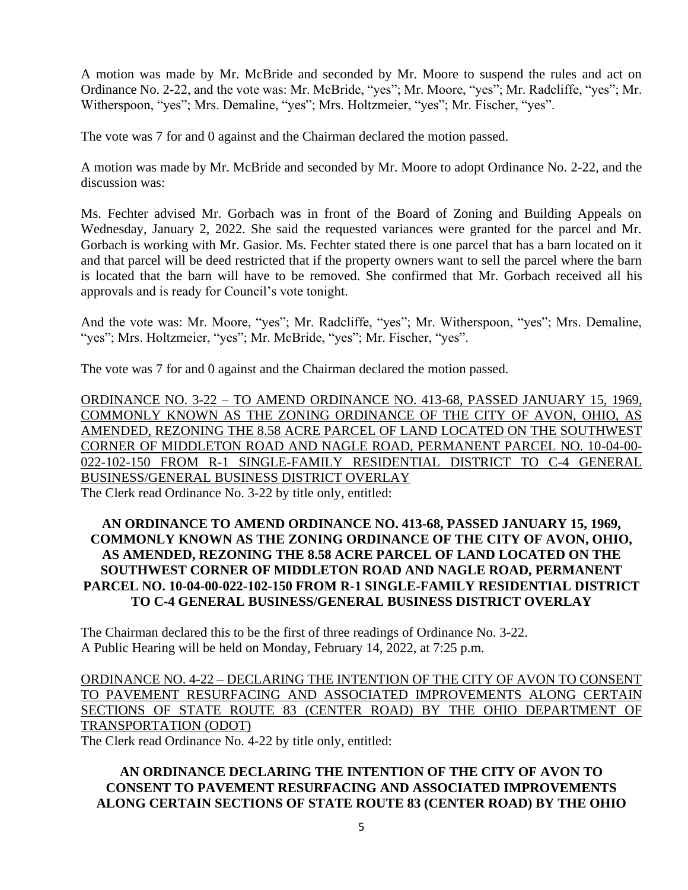A motion was made by Mr. McBride and seconded by Mr. Moore to suspend the rules and act on Ordinance No. 2-22, and the vote was: Mr. McBride, "yes"; Mr. Moore, "yes"; Mr. Radcliffe, "yes"; Mr. Witherspoon, "yes"; Mrs. Demaline, "yes"; Mrs. Holtzmeier, "yes"; Mr. Fischer, "yes".

The vote was 7 for and 0 against and the Chairman declared the motion passed.

A motion was made by Mr. McBride and seconded by Mr. Moore to adopt Ordinance No. 2-22, and the discussion was:

Ms. Fechter advised Mr. Gorbach was in front of the Board of Zoning and Building Appeals on Wednesday, January 2, 2022. She said the requested variances were granted for the parcel and Mr. Gorbach is working with Mr. Gasior. Ms. Fechter stated there is one parcel that has a barn located on it and that parcel will be deed restricted that if the property owners want to sell the parcel where the barn is located that the barn will have to be removed. She confirmed that Mr. Gorbach received all his approvals and is ready for Council's vote tonight.

And the vote was: Mr. Moore, "yes"; Mr. Radcliffe, "yes"; Mr. Witherspoon, "yes"; Mrs. Demaline, "yes"; Mrs. Holtzmeier, "yes"; Mr. McBride, "yes"; Mr. Fischer, "yes".

The vote was 7 for and 0 against and the Chairman declared the motion passed.

ORDINANCE NO. 3-22 – TO AMEND ORDINANCE NO. 413-68, PASSED JANUARY 15, 1969, COMMONLY KNOWN AS THE ZONING ORDINANCE OF THE CITY OF AVON, OHIO, AS AMENDED, REZONING THE 8.58 ACRE PARCEL OF LAND LOCATED ON THE SOUTHWEST CORNER OF MIDDLETON ROAD AND NAGLE ROAD, PERMANENT PARCEL NO. 10-04-00- 022-102-150 FROM R-1 SINGLE-FAMILY RESIDENTIAL DISTRICT TO C-4 GENERAL BUSINESS/GENERAL BUSINESS DISTRICT OVERLAY The Clerk read Ordinance No. 3-22 by title only, entitled:

## **AN ORDINANCE TO AMEND ORDINANCE NO. 413-68, PASSED JANUARY 15, 1969, COMMONLY KNOWN AS THE ZONING ORDINANCE OF THE CITY OF AVON, OHIO, AS AMENDED, REZONING THE 8.58 ACRE PARCEL OF LAND LOCATED ON THE SOUTHWEST CORNER OF MIDDLETON ROAD AND NAGLE ROAD, PERMANENT PARCEL NO. 10-04-00-022-102-150 FROM R-1 SINGLE-FAMILY RESIDENTIAL DISTRICT TO C-4 GENERAL BUSINESS/GENERAL BUSINESS DISTRICT OVERLAY**

The Chairman declared this to be the first of three readings of Ordinance No. 3-22. A Public Hearing will be held on Monday, February 14, 2022, at 7:25 p.m.

ORDINANCE NO. 4-22 – DECLARING THE INTENTION OF THE CITY OF AVON TO CONSENT TO PAVEMENT RESURFACING AND ASSOCIATED IMPROVEMENTS ALONG CERTAIN SECTIONS OF STATE ROUTE 83 (CENTER ROAD) BY THE OHIO DEPARTMENT OF TRANSPORTATION (ODOT)

The Clerk read Ordinance No. 4-22 by title only, entitled:

# **AN ORDINANCE DECLARING THE INTENTION OF THE CITY OF AVON TO CONSENT TO PAVEMENT RESURFACING AND ASSOCIATED IMPROVEMENTS ALONG CERTAIN SECTIONS OF STATE ROUTE 83 (CENTER ROAD) BY THE OHIO**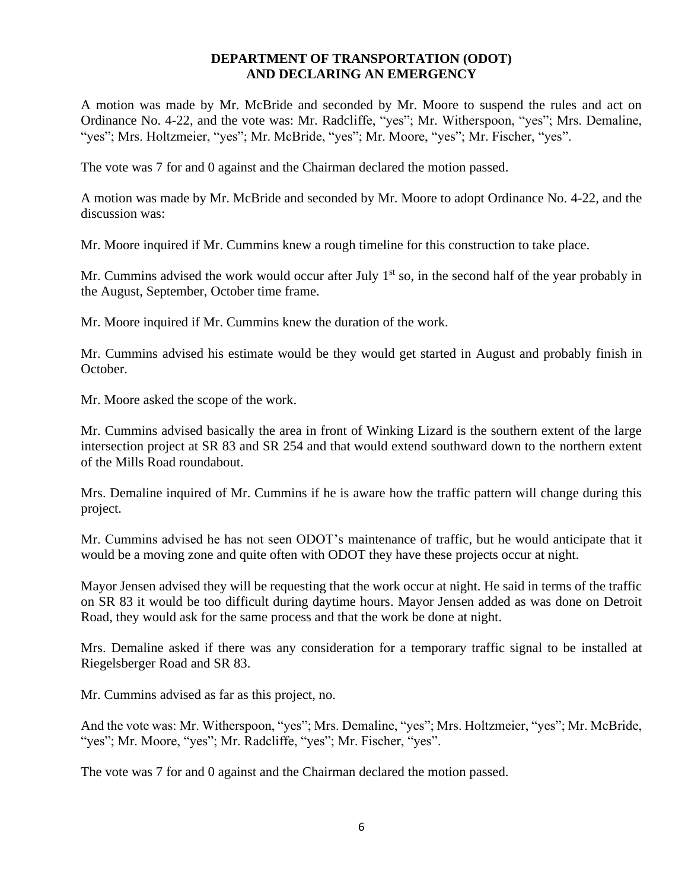#### **DEPARTMENT OF TRANSPORTATION (ODOT) AND DECLARING AN EMERGENCY**

A motion was made by Mr. McBride and seconded by Mr. Moore to suspend the rules and act on Ordinance No. 4-22, and the vote was: Mr. Radcliffe, "yes"; Mr. Witherspoon, "yes"; Mrs. Demaline, "yes"; Mrs. Holtzmeier, "yes"; Mr. McBride, "yes"; Mr. Moore, "yes"; Mr. Fischer, "yes".

The vote was 7 for and 0 against and the Chairman declared the motion passed.

A motion was made by Mr. McBride and seconded by Mr. Moore to adopt Ordinance No. 4-22, and the discussion was:

Mr. Moore inquired if Mr. Cummins knew a rough timeline for this construction to take place.

Mr. Cummins advised the work would occur after July  $1<sup>st</sup>$  so, in the second half of the year probably in the August, September, October time frame.

Mr. Moore inquired if Mr. Cummins knew the duration of the work.

Mr. Cummins advised his estimate would be they would get started in August and probably finish in October.

Mr. Moore asked the scope of the work.

Mr. Cummins advised basically the area in front of Winking Lizard is the southern extent of the large intersection project at SR 83 and SR 254 and that would extend southward down to the northern extent of the Mills Road roundabout.

Mrs. Demaline inquired of Mr. Cummins if he is aware how the traffic pattern will change during this project.

Mr. Cummins advised he has not seen ODOT's maintenance of traffic, but he would anticipate that it would be a moving zone and quite often with ODOT they have these projects occur at night.

Mayor Jensen advised they will be requesting that the work occur at night. He said in terms of the traffic on SR 83 it would be too difficult during daytime hours. Mayor Jensen added as was done on Detroit Road, they would ask for the same process and that the work be done at night.

Mrs. Demaline asked if there was any consideration for a temporary traffic signal to be installed at Riegelsberger Road and SR 83.

Mr. Cummins advised as far as this project, no.

And the vote was: Mr. Witherspoon, "yes"; Mrs. Demaline, "yes"; Mrs. Holtzmeier, "yes"; Mr. McBride, "yes"; Mr. Moore, "yes"; Mr. Radcliffe, "yes"; Mr. Fischer, "yes".

The vote was 7 for and 0 against and the Chairman declared the motion passed.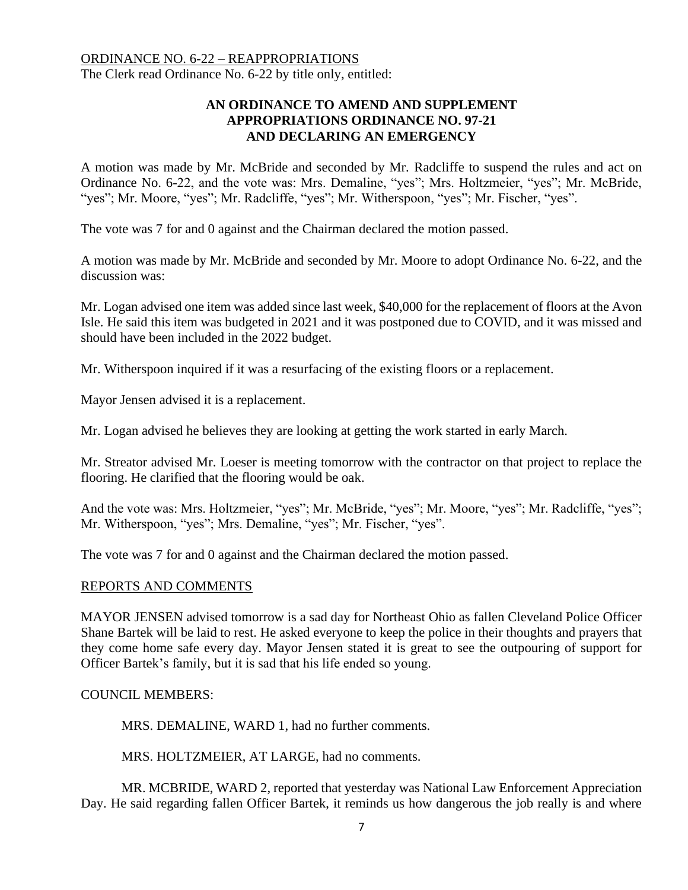# ORDINANCE NO. 6-22 – REAPPROPRIATIONS The Clerk read Ordinance No. 6-22 by title only, entitled:

# **AN ORDINANCE TO AMEND AND SUPPLEMENT APPROPRIATIONS ORDINANCE NO. 97-21 AND DECLARING AN EMERGENCY**

A motion was made by Mr. McBride and seconded by Mr. Radcliffe to suspend the rules and act on Ordinance No. 6-22, and the vote was: Mrs. Demaline, "yes"; Mrs. Holtzmeier, "yes"; Mr. McBride, "yes"; Mr. Moore, "yes"; Mr. Radcliffe, "yes"; Mr. Witherspoon, "yes"; Mr. Fischer, "yes".

The vote was 7 for and 0 against and the Chairman declared the motion passed.

A motion was made by Mr. McBride and seconded by Mr. Moore to adopt Ordinance No. 6-22, and the discussion was:

Mr. Logan advised one item was added since last week, \$40,000 for the replacement of floors at the Avon Isle. He said this item was budgeted in 2021 and it was postponed due to COVID, and it was missed and should have been included in the 2022 budget.

Mr. Witherspoon inquired if it was a resurfacing of the existing floors or a replacement.

Mayor Jensen advised it is a replacement.

Mr. Logan advised he believes they are looking at getting the work started in early March.

Mr. Streator advised Mr. Loeser is meeting tomorrow with the contractor on that project to replace the flooring. He clarified that the flooring would be oak.

And the vote was: Mrs. Holtzmeier, "yes"; Mr. McBride, "yes"; Mr. Moore, "yes"; Mr. Radcliffe, "yes"; Mr. Witherspoon, "yes"; Mrs. Demaline, "yes"; Mr. Fischer, "yes".

The vote was 7 for and 0 against and the Chairman declared the motion passed.

#### REPORTS AND COMMENTS

MAYOR JENSEN advised tomorrow is a sad day for Northeast Ohio as fallen Cleveland Police Officer Shane Bartek will be laid to rest. He asked everyone to keep the police in their thoughts and prayers that they come home safe every day. Mayor Jensen stated it is great to see the outpouring of support for Officer Bartek's family, but it is sad that his life ended so young.

### COUNCIL MEMBERS:

MRS. DEMALINE, WARD 1, had no further comments.

MRS. HOLTZMEIER, AT LARGE, had no comments.

MR. MCBRIDE, WARD 2, reported that yesterday was National Law Enforcement Appreciation Day. He said regarding fallen Officer Bartek, it reminds us how dangerous the job really is and where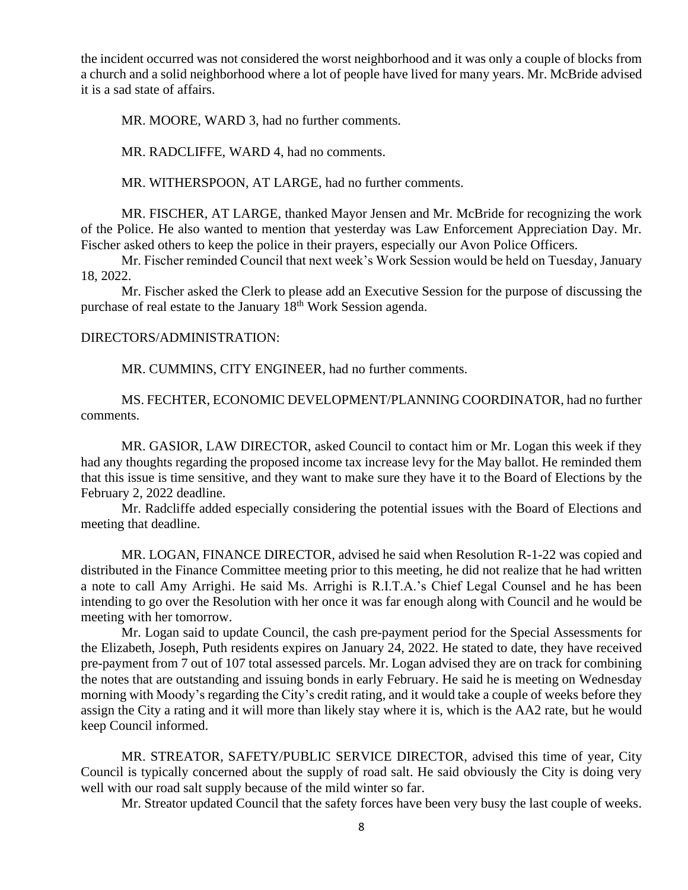the incident occurred was not considered the worst neighborhood and it was only a couple of blocks from a church and a solid neighborhood where a lot of people have lived for many years. Mr. McBride advised it is a sad state of affairs.

MR. MOORE, WARD 3, had no further comments.

MR. RADCLIFFE, WARD 4, had no comments.

MR. WITHERSPOON, AT LARGE, had no further comments.

MR. FISCHER, AT LARGE, thanked Mayor Jensen and Mr. McBride for recognizing the work of the Police. He also wanted to mention that yesterday was Law Enforcement Appreciation Day. Mr. Fischer asked others to keep the police in their prayers, especially our Avon Police Officers.

Mr. Fischer reminded Council that next week's Work Session would be held on Tuesday, January 18, 2022.

Mr. Fischer asked the Clerk to please add an Executive Session for the purpose of discussing the purchase of real estate to the January 18<sup>th</sup> Work Session agenda.

#### DIRECTORS/ADMINISTRATION:

MR. CUMMINS, CITY ENGINEER, had no further comments.

MS. FECHTER, ECONOMIC DEVELOPMENT/PLANNING COORDINATOR, had no further comments.

MR. GASIOR, LAW DIRECTOR, asked Council to contact him or Mr. Logan this week if they had any thoughts regarding the proposed income tax increase levy for the May ballot. He reminded them that this issue is time sensitive, and they want to make sure they have it to the Board of Elections by the February 2, 2022 deadline.

Mr. Radcliffe added especially considering the potential issues with the Board of Elections and meeting that deadline.

MR. LOGAN, FINANCE DIRECTOR, advised he said when Resolution R-1-22 was copied and distributed in the Finance Committee meeting prior to this meeting, he did not realize that he had written a note to call Amy Arrighi. He said Ms. Arrighi is R.I.T.A.'s Chief Legal Counsel and he has been intending to go over the Resolution with her once it was far enough along with Council and he would be meeting with her tomorrow.

Mr. Logan said to update Council, the cash pre-payment period for the Special Assessments for the Elizabeth, Joseph, Puth residents expires on January 24, 2022. He stated to date, they have received pre-payment from 7 out of 107 total assessed parcels. Mr. Logan advised they are on track for combining the notes that are outstanding and issuing bonds in early February. He said he is meeting on Wednesday morning with Moody's regarding the City's credit rating, and it would take a couple of weeks before they assign the City a rating and it will more than likely stay where it is, which is the AA2 rate, but he would keep Council informed.

MR. STREATOR, SAFETY/PUBLIC SERVICE DIRECTOR, advised this time of year, City Council is typically concerned about the supply of road salt. He said obviously the City is doing very well with our road salt supply because of the mild winter so far.

Mr. Streator updated Council that the safety forces have been very busy the last couple of weeks.